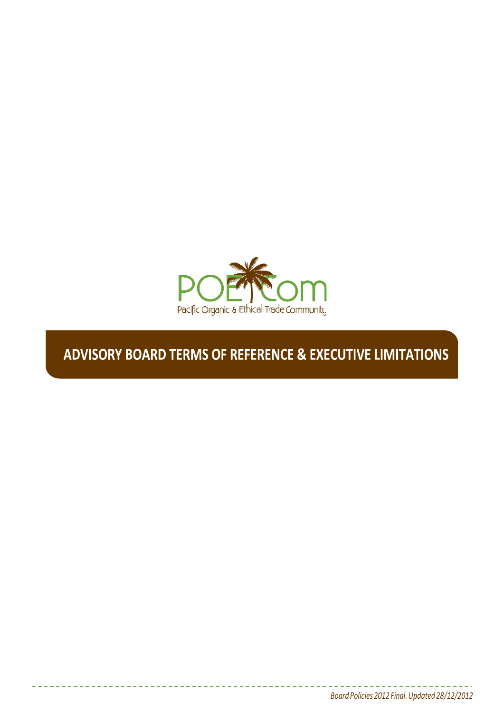

# **ADVISORY BOARD TERMS OF REFERENCE & EXECUTIVE LIMITATIONS**

1 *Board Policies 2012 Final.Updated 28/12/2012*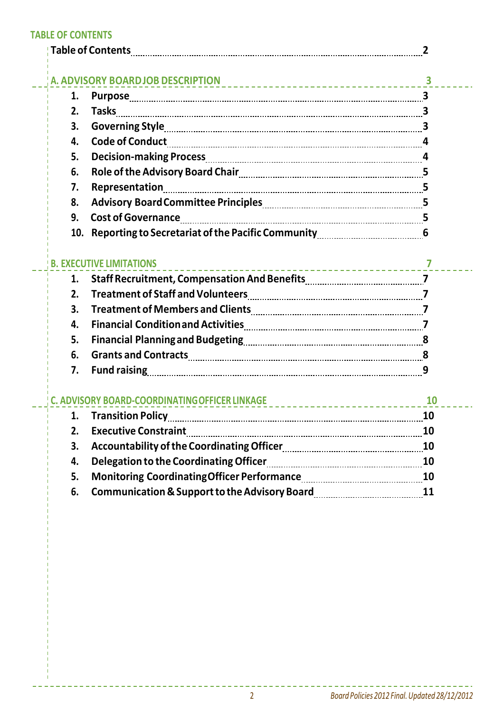#### **TABLE OF CONTENTS**

|    | Table of Contents                                                                                              |                                                                                                                       |
|----|----------------------------------------------------------------------------------------------------------------|-----------------------------------------------------------------------------------------------------------------------|
|    | A. ADVISORY BOARDJOB DESCRIPTION<br>3                                                                          |                                                                                                                       |
| 1. |                                                                                                                |                                                                                                                       |
| 2. |                                                                                                                |                                                                                                                       |
| 3. |                                                                                                                |                                                                                                                       |
| 4. |                                                                                                                |                                                                                                                       |
| 5. |                                                                                                                |                                                                                                                       |
| 6. |                                                                                                                |                                                                                                                       |
| 7. |                                                                                                                |                                                                                                                       |
| 8. | Advisory Board Committee Principles [11] Marson Marian Marson Marson Marson Marson Marson Marson Marson Marson |                                                                                                                       |
| 9. |                                                                                                                |                                                                                                                       |
|    | 10. Reporting to Secretariat of the Pacific Community manus and summan 6                                       |                                                                                                                       |
|    | <b>EXECUTIVE LIMITATIONS</b>                                                                                   | <u>7 - - - - - - - - - - - - - - - - - 7 - - - - - - 7 - - - - - - 7 - - - - - 7 - - - - 7 - - - - 7 - - - - 7 - </u> |
| 1. |                                                                                                                |                                                                                                                       |
| 2. |                                                                                                                |                                                                                                                       |
| 3. |                                                                                                                |                                                                                                                       |
| 4. |                                                                                                                |                                                                                                                       |
| 5. |                                                                                                                |                                                                                                                       |
| 6. |                                                                                                                |                                                                                                                       |
| 7. |                                                                                                                |                                                                                                                       |
|    |                                                                                                                | <b>10</b>                                                                                                             |
|    |                                                                                                                |                                                                                                                       |
| 2. | <b>Executive Constraint</b>                                                                                    |                                                                                                                       |
| 3. |                                                                                                                |                                                                                                                       |
| 4. |                                                                                                                |                                                                                                                       |
| 5. |                                                                                                                |                                                                                                                       |
| 6. |                                                                                                                |                                                                                                                       |

----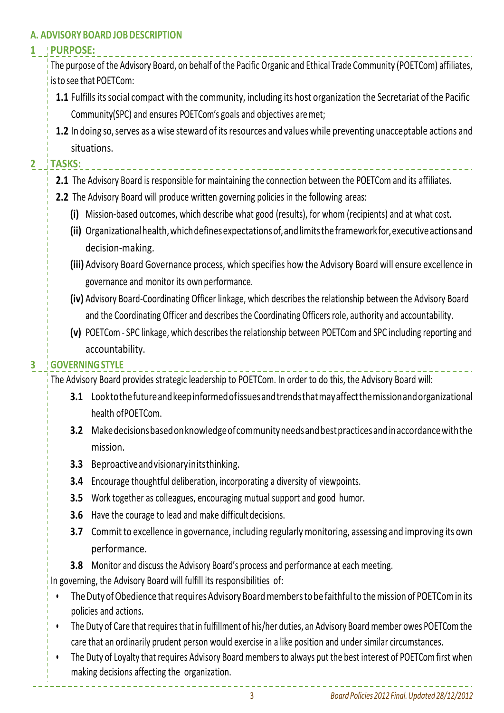#### **A. ADVISORY BOARD JOBDESCRIPTION**

#### **1 PURPOSE:**

The purpose of the Advisory Board, on behalf of the Pacific Organic and Ethical Trade Community (POETCom) affiliates, isto see that POETCom:

- **1.1** Fulfills its social compact with the community, including its host organization the Secretariat of the Pacific Community(SPC) and ensures POETCom's goals and objectives aremet;
- **1.2** In doing so, serves as a wise steward of its resources and values while preventing unacceptable actions and situations.

## **2 TASKS:**

- **2.1** The Advisory Board is responsible for maintaining the connection between the POETCom and its affiliates.
- **2.2** The Advisory Board will produce written governing policies in the following areas:
	- **(i)** Mission-based outcomes, which describe what good (results), for whom (recipients) and at what cost.
	- **(ii)** Organizationalhealth,whichdefinesexpectationsof,andlimitstheframework for,executiveactionsand decision-making.
	- **(iii)** Advisory Board Governance process, which specifies how the Advisory Board will ensure excellence in governance and monitor its own performance.
	- **(iv)** Advisory Board-Coordinating Officer linkage, which describes the relationship between the Advisory Board and the Coordinating Officer and describes the Coordinating Officers role, authority and accountability.
	- **(v)** POETCom SPC linkage, which describes the relationship between POETCom and SPC including reporting and accountability.

## **3 GOVERNINGSTYLE**

The Advisory Board provides strategic leadership to POETCom. In order to do this, the Advisory Board will:

- **3.1** Looktothefutureandkeepinformedofissuesandtrendsthatmayaffectthemissionandorganizational health ofPOETCom.
- **3.2** Makedecisionsbasedonknowledgeofcommunityneedsandbestpracticesandinaccordancewiththe mission.
- **3.3** Beproactiveandvisionaryinitsthinking.
- **3.4** Encourage thoughtful deliberation, incorporating a diversity of viewpoints.
- **3.5** Work together as colleagues, encouraging mutual support and good humor.
- **3.6** Have the courage to lead and make difficult decisions.
- **3.7** Commit to excellence in governance, including regularly monitoring, assessing and improving its own performance.
- **3.8** Monitor and discuss the Advisory Board's process and performance at each meeting.

In governing, the Advisory Board will fulfill its responsibilities of:

- The Duty of Obedience that requires Advisory Board members to be faithful to the mission of POETCom in its policies and actions.
- The Duty of Care that requires that in fulfillment of his/her duties, an Advisory Board member owes POETCom the care that an ordinarily prudent person would exercise in a like position and under similar circumstances.
- The Duty of Loyalty that requires Advisory Board members to always put the best interest of POETCom first when making decisions affecting the organization.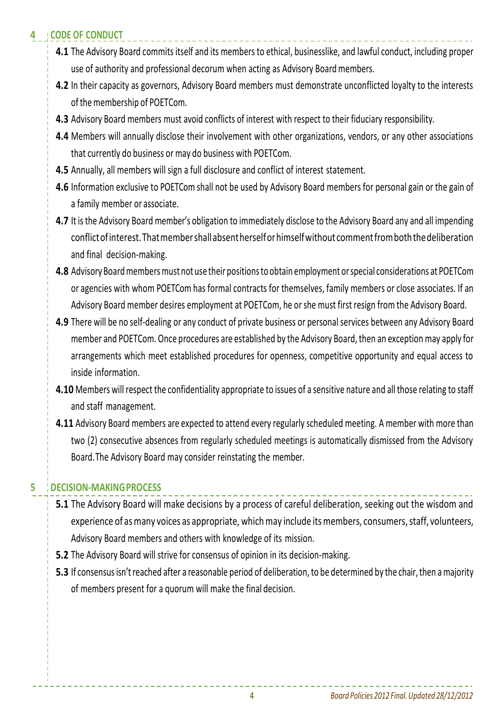# **4 CODE OF CONDUCT**

- **4.1** The Advisory Board commits itself and its members to ethical, businesslike, and lawful conduct, including proper use of authority and professional decorum when acting as Advisory Board members.
- **4.2** In their capacity as governors, Advisory Board members must demonstrate unconflicted loyalty to the interests of the membership of POETCom.
- **4.3** Advisory Board members must avoid conflicts of interest with respect to their fiduciary responsibility.
- **4.4** Members will annually disclose their involvement with other organizations, vendors, or any other associations that currently do business or may do business with POETCom.
- **4.5** Annually, all members will sign a full disclosure and conflict of interest statement.
- **4.6** Information exclusive to POETCom shall not be used by Advisory Board members for personal gain or the gain of a family member or associate.
- **4.7** It is the Advisory Board member's obligation to immediately disclose to the Advisory Board any and all impending conflictofinterest.Thatmembershallabsentherselforhimselfwithout commentfromboththedeliberation and final decision-making.
- **4.8** Advisory Board members must not use their positions to obtain employment or special considerations at POETCom or agencies with whom POETCom has formal contracts for themselves, family members or close associates. If an Advisory Board member desires employment at POETCom, he orshe must first resign from the Advisory Board.
- **4.9** There will be no self-dealing or any conduct of private business or personal services between any Advisory Board member and POETCom. Once procedures are established by the Advisory Board, then an exception may apply for arrangements which meet established procedures for openness, competitive opportunity and equal access to inside information.
- **4.10** Members will respect the confidentiality appropriate to issues of a sensitive nature and all those relating to staff and staff management.
- **4.11** Advisory Board members are expected to attend every regularly scheduled meeting. A member with more than two (2) consecutive absences from regularly scheduled meetings is automatically dismissed from the Advisory Board.The Advisory Board may consider reinstating the member.

# **5 DECISION-MAKINGPROCESS**

- **5.1** The Advisory Board will make decisions by a process of careful deliberation, seeking out the wisdom and experience of as many voices as appropriate, which may include its members, consumers, staff, volunteers, Advisory Board members and others with knowledge of its mission.
- **5.2** The Advisory Board will strive for consensus of opinion in its decision-making.
- **5.3** If consensus isn't reached after a reasonable period of deliberation, to be determined by the chair, then a majority of members present for a quorum will make the final decision.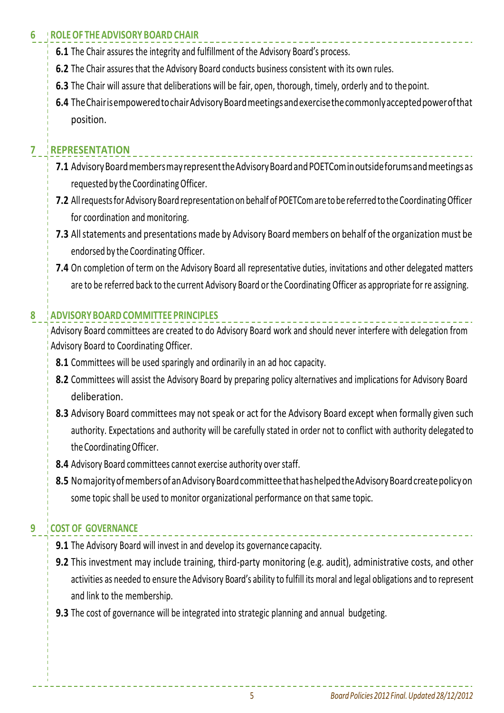# **6 ROLEOF THE ADVISORY BOARD CHAIR**

- **6.1** The Chair assures the integrity and fulfillment of the Advisory Board's process.
- **6.2** The Chair assures that the Advisory Board conducts business consistent with its own rules.
- **6.3** The Chair will assure that deliberations will be fair, open, thorough, timely, orderly and to thepoint.
- **6.4** TheChairisempoweredtochairAdvisoryBoardmeetingsandexercisethecommonlyacceptedpowerofthat position.

# **7 REPRESENTATION**

- **7.1** Advisory Board members may represent the Advisory Board and POETCom in outside forums and meetings as requested by the Coordinating Officer.
- **7.2** All requests for Advisory Board representation on behalf of POETCom are to be referred to the Coordinating Officer for coordination and monitoring.
- **7.3** All statements and presentations made by Advisory Board members on behalf of the organization must be endorsed by the CoordinatingOfficer.
- **7.4** On completion of term on the Advisory Board all representative duties, invitations and other delegated matters are to be referred back to the current Advisory Board or the Coordinating Officer as appropriate for re assigning.

# **8 ADVISORYBOARDCOMMITTEE PRINCIPLES**

Advisory Board committees are created to do Advisory Board work and should never interfere with delegation from Advisory Board to Coordinating Officer.

- **8.1** Committees will be used sparingly and ordinarily in an ad hoc capacity.
- **8.2** Committees will assist the Advisory Board by preparing policy alternatives and implications for Advisory Board deliberation.
- **8.3** Advisory Board committees may not speak or act for the Advisory Board except when formally given such authority. Expectations and authority will be carefully stated in order not to conflict with authority delegated to the Coordinating Officer.
- **8.4** Advisory Board committees cannot exercise authority over staff.
- 8.5 Nomajority of members of an Advisory Board committee that has helped the Advisory Board create policy on some topic shall be used to monitor organizational performance on that same topic.

# **9 COST OF GOVERNANCE**

- **9.1** The Advisory Board will invest in and develop its governance capacity.
- **9.2** This investment may include training, third-party monitoring (e.g. audit), administrative costs, and other activities as needed to ensure the Advisory Board's ability to fulfill its moral and legal obligations and to represent and link to the membership.
- **9.3** The cost of governance will be integrated into strategic planning and annual budgeting.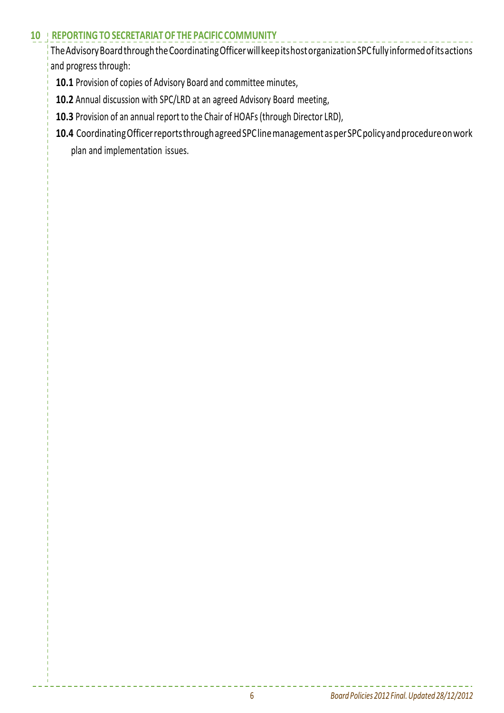#### **10 REPORTINGTOSECRETARIATOF THE PACIFIC COMMUNITY**

TheAdvisoryBoardthroughtheCoordinatingOfficerwillkeepitshostorganizationSPCfullyinformedofitsactions and progress through:

- **10.1** Provision of copies of Advisory Board and committee minutes,
- **10.2** Annual discussion with SPC/LRD at an agreed Advisory Board meeting,
- **10.3** Provision of an annual report to the Chair of HOAFs (through Director LRD),
- **10.4** CoordinatingOfficerreportsthroughagreedSPClinemanagementasperSPCpolicyandprocedureonwork plan and implementation issues.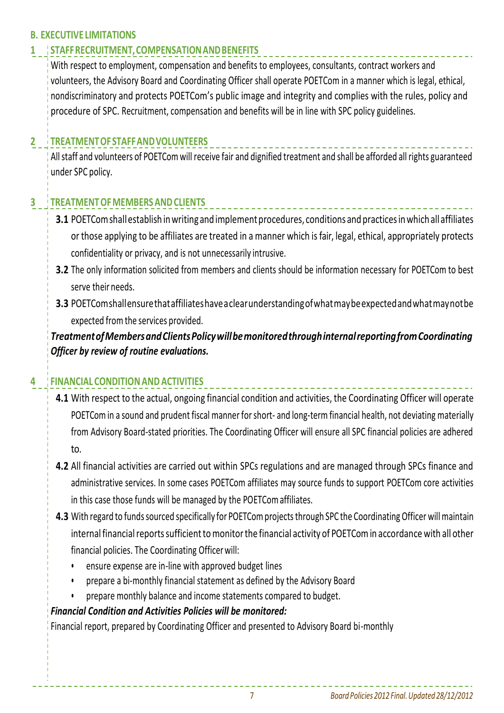## **B. EXECUTIVE LIMITATIONS**

# **1 STAFFRECRUITMENT,COMPENSATIONANDBENEFITS**

With respect to employment, compensation and benefits to employees, consultants, contract workers and volunteers, the Advisory Board and Coordinating Officer shall operate POETCom in a manner which is legal, ethical, nondiscriminatory and protects POETCom's public image and integrity and complies with the rules, policy and procedure of SPC. Recruitment, compensation and benefits will be in line with SPC policy guidelines.

## **2 TREATMENTOFSTAFFANDVOLUNTEERS**

Allstaff and volunteers of POETCom will receive fair and dignified treatment and shall be afforded all rights guaranteed under SPC policy.

## **3 TREATMENTOFMEMBERSANDCLIENTS**

- 3.1 POETCom shall establish in writing and implement procedures, conditions and practices in which all affiliates or those applying to be affiliates are treated in a manner which is fair, legal, ethical, appropriately protects confidentiality or privacy, and is not unnecessarily intrusive.
- **3.2** The only information solicited from members and clients should be information necessary for POETCom to best serve their needs.
- **3.3** POETComshallensurethataffiliateshaveaclearunderstandingofwhatmaybeexpectedandwhatmaynotbe expected from the services provided.

*TreatmentofMembersandClientsPolicywillbemonitoredthroughinternalreportingfromCoordinating Officer by review of routine evaluations.*

## **4 FINANCIAL CONDITIONAND ACTIVITIES**

- **4.1** With respect to the actual, ongoing financial condition and activities, the Coordinating Officer will operate POETCom in a sound and prudent fiscal manner for short- and long-term financial health, not deviating materially from Advisory Board-stated priorities. The Coordinating Officer will ensure all SPC financial policies are adhered to.
- **4.2** All financial activities are carried out within SPCs regulations and are managed through SPCs finance and administrative services. In some cases POETCom affiliates may source funds to support POETCom core activities in this case those funds will be managed by the POETComaffiliates.
- **4.3** With regard to funds sourced specifically for POETCom projects through SPC the Coordinating Officer will maintain internal financial reports sufficient to monitor the financial activity of POETCom in accordance with all other financial policies. The Coordinating Officerwill:
	- ensure expense are in-line with approved budget lines
	- prepare a bi-monthly financial statement as defined by the Advisory Board
	- prepare monthly balance and income statements compared to budget.

#### *Financial Condition and Activities Policies will be monitored:*

Financial report, prepared by Coordinating Officer and presented to Advisory Board bi-monthly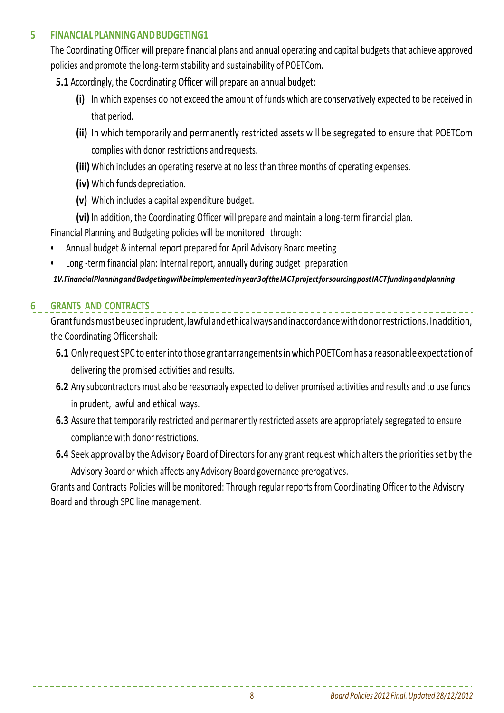## **5 FINANCIALPLANNINGANDBUDGETING1**

The Coordinating Officer will prepare financial plans and annual operating and capital budgets that achieve approved policies and promote the long-term stability and sustainability of POETCom.

- **5.1** Accordingly, the Coordinating Officer will prepare an annual budget:
	- **(i)** In which expenses do not exceed the amount of funds which are conservatively expected to be received in that period.
	- **(ii)** In which temporarily and permanently restricted assets will be segregated to ensure that POETCom complies with donor restrictions and requests.
	- **(iii)** Which includes an operating reserve at no less than three months of operating expenses.
	- **(iv)** Which funds depreciation.
	- **(v)** Which includes a capital expenditure budget.
	- **(vi)** In addition, the Coordinating Officer will prepare and maintain a long-term financial plan.

Financial Planning and Budgeting policies will be monitored through:

- Annual budget & internal report prepared for April Advisory Board meeting
- Long -term financial plan: Internal report, annually during budget preparation

*1V.FinancialPlanningandBudgetingwillbeimplementedinyear3oftheIACTprojectforsourcingpostIACTfundingandplanning*

# **6 GRANTS AND CONTRACTS**

Grantfundsmustbeusedinprudent,lawfulandethicalwaysandinaccordancewithdonorrestrictions. Inaddition, the Coordinating Officershall:

- 6.1 Only request SPC to enter into those grant arrangements in which POETCom has a reasonable expectation of delivering the promised activities and results.
- **6.2** Any subcontractors must also be reasonably expected to deliver promised activities and results and to use funds in prudent, lawful and ethical ways.
- **6.3** Assure that temporarily restricted and permanently restricted assets are appropriately segregated to ensure compliance with donor restrictions.
- **6.4** Seek approval by the Advisory Board of Directors for any grant request which alters the priorities set by the Advisory Board or which affects any Advisory Board governance prerogatives.

Grants and Contracts Policies will be monitored: Through regular reports from Coordinating Officer to the Advisory Board and through SPC line management.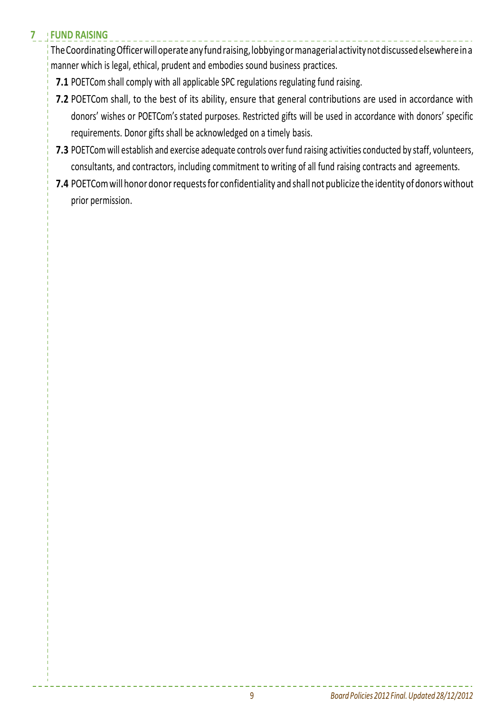# **7 FUND RAISING**

TheCoordinatingOfficerwilloperateanyfundraising,lobbyingormanagerialactivitynotdiscussedelsewhereina manner which is legal, ethical, prudent and embodies sound business practices.

- **7.1** POETCom shall comply with all applicable SPC regulations regulating fund raising.
- **7.2** POETCom shall, to the best of its ability, ensure that general contributions are used in accordance with donors' wishes or POETCom's stated purposes. Restricted gifts will be used in accordance with donors' specific requirements. Donor gifts shall be acknowledged on a timely basis.
- **7.3** POETCom will establish and exercise adequate controls over fund raising activities conducted by staff, volunteers, consultants, and contractors, including commitment to writing of all fund raising contracts and agreements.
- **7.4** POETCom will honor donor requests for confidentiality and shall not publicize the identity of donors without prior permission.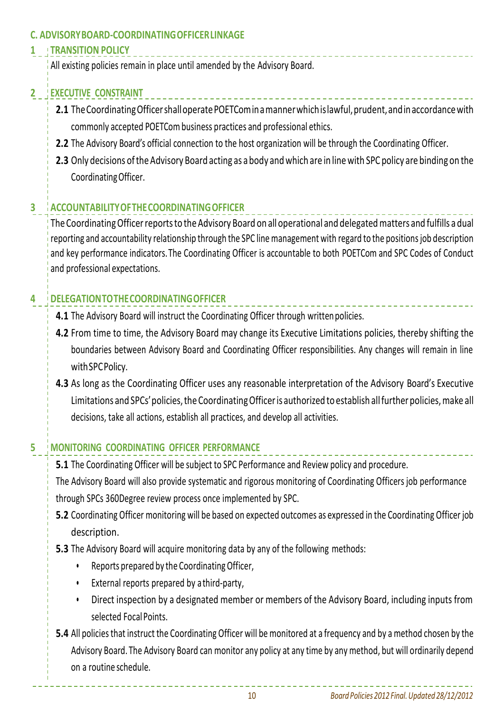#### **C. ADVISORYBOARD-COORDINATINGOFFICERLINKAGE**

## **1 TRANSITION POLICY**

All existing policies remain in place until amended by the Advisory Board.

# **2 EXECUTIVE CONSTRAINT**

- **2.1** The Coordinating Officer shall operate POETCom in a manner which is lawful, prudent, and in accordance with commonly accepted POETCom business practices and professional ethics.
- **2.2** The Advisory Board's official connection to the host organization will be through the Coordinating Officer.
- **2.3** Only decisions of the Advisory Board acting as a body and which are in line with SPC policy are binding on the CoordinatingOfficer.

# **3 ACCOUNTABILITYOFTHECOORDINATINGOFFICER**

The Coordinating Officer reports to the Advisory Board on all operational and delegated matters and fulfills a dual reporting and accountability relationship through the SPC line management with regard to the positions job description and key performance indicators.The Coordinating Officer is accountable to both POETCom and SPC Codes of Conduct and professional expectations.

# **4 DELEGATIONTOTHECOORDINATINGOFFICER**

- **4.1** The Advisory Board will instruct the Coordinating Officer through written policies.
- **4.2** From time to time, the Advisory Board may change its Executive Limitations policies, thereby shifting the boundaries between Advisory Board and Coordinating Officer responsibilities. Any changes will remain in line withSPCPolicy.
- **4.3** As long as the Coordinating Officer uses any reasonable interpretation of the Advisory Board's Executive Limitations and SPCs' policies, the Coordinating Officer is authorized to establish all further policies, make all decisions, take all actions, establish all practices, and develop all activities.

# **5 MONITORING COORDINATING OFFICER PERFORMANCE**

**5.1** The Coordinating Officer will be subject to SPC Performance and Review policy and procedure.

The Advisory Board will also provide systematic and rigorous monitoring of Coordinating Officers job performance through SPCs 360Degree review process once implemented by SPC.

- **5.2** Coordinating Officer monitoring will be based on expected outcomes as expressed in the Coordinating Officer job description.
- **5.3** The Advisory Board will acquire monitoring data by any of the following methods:
	- Reports prepared by the CoordinatingOfficer,
	- External reports prepared by athird-party,
	- Direct inspection by a designated member or members of the Advisory Board, including inputs from selected Focal Points.
- **5.4** All policies that instruct the Coordinating Officer will be monitored at a frequency and by a method chosen by the Advisory Board. The Advisory Board can monitor any policy at any time by any method, but will ordinarily depend on a routine schedule.